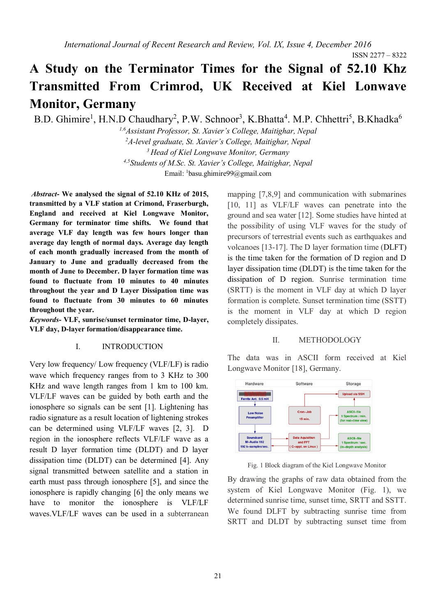ISSN 2277 – 8322

# **A Study on the Terminator Times for the Signal of 52.10 Khz Transmitted From Crimrod, UK Received at Kiel Lonwave Monitor, Germany**

B.D. Ghimire<sup>1</sup>, H.N.D Chaudhary<sup>2</sup>, P.W. Schnoor<sup>3</sup>, K.Bhatta<sup>4</sup>. M.P. Chhettri<sup>5</sup>, B.Khadka<sup>6</sup>

*1,6Assistant Professor, St. Xavier's College, Maitighar, Nepal <sup>2</sup>A-level graduate, St. Xavier's College, Maitighar, Nepal <sup>3</sup> Head of Kiel Longwave Monitor, Germany 4,5Students of M.Sc. St. Xavier's College, Maitighar, Nepal* Email: <sup>1</sup>[basu.ghimire99@gmail.com](mailto:1basu.ghimire99@gmail.com)

*Abstract***- We analysed the signal of 52.10 KHz of 2015, transmitted by a VLF station at Crimond, Fraserburgh, England and received at Kiel Longwave Monitor, Germany for terminator time shifts. We found that average VLF day length was few hours longer than average day length of normal days. Average day length of each month gradually increased from the month of January to June and gradually decreased from the month of June to December. D layer formation time was found to fluctuate from 10 minutes to 40 minutes throughout the year and D Layer Dissipation time was found to fluctuate from 30 minutes to 60 minutes throughout the year.**

*Keywords***- VLF, sunrise/sunset terminator time, D-layer, VLF day, D-layer formation/disappearance time.**

#### I. INTRODUCTION

Very low frequency/ Low frequency (VLF/LF) is radio wave which frequency ranges from to 3 KHz to 300 KHz and wave length ranges from 1 km to 100 km. VLF/LF waves can be guided by both earth and the ionosphere so signals can be sent [1]. Lightening has radio signature as a result location of lightening strokes can be determined using VLF/LF waves [2, 3]. D region in the ionosphere reflects VLF/LF wave as a result D layer formation time (DLDT) and D layer dissipation time (DLDT) can be determined [4]. Any signal transmitted between satellite and a station in earth must pass through ionosphere [5], and since the ionosphere is rapidly changing [6] the only means we have to monitor the ionosphere is VLF/LF waves.VLF/LF waves can be used in a subterranean mapping [7,8,9] and communication with submarines [10, 11] as VLF/LF waves can penetrate into the ground and sea water [12]. Some studies have hinted at the possibility of using VLF waves for the study of precursors of terrestrial events such as earthquakes and volcanoes [13-17]. The D layer formation time (DLFT) is the time taken for the formation of D region and D layer dissipation time (DLDT) is the time taken for the dissipation of D region. Sunrise termination time (SRTT) is the moment in VLF day at which D layer formation is complete. Sunset termination time (SSTT) is the moment in VLF day at which D region completely dissipates.

# II. METHODOLOGY

The data was in ASCII form received at Kiel Longwave Monitor [18], Germany.



Fig. 1 Block diagram of the Kiel Longwave Monitor

By drawing the graphs of raw data obtained from the system of Kiel Longwave Monitor (Fig. 1), we determined sunrise time, sunset time, SRTT and SSTT. We found DLFT by subtracting sunrise time from SRTT and DLDT by subtracting sunset time from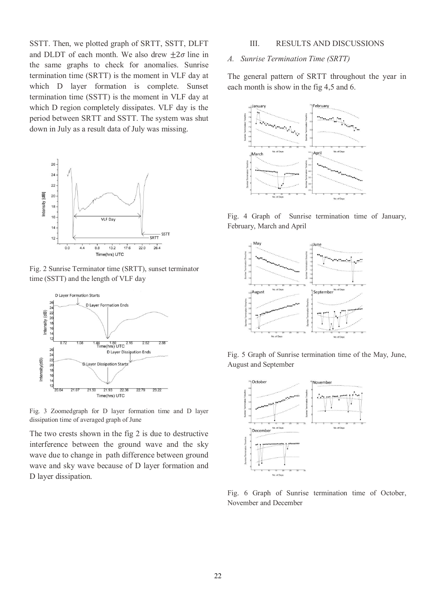SSTT. Then, we plotted graph of SRTT, SSTT, DLFT and DLDT of each month. We also drew  $\pm 2\sigma$  line in the same graphs to check for anomalies. Sunrise termination time (SRTT) is the moment in VLF day at which D layer formation is complete. Sunset termination time (SSTT) is the moment in VLF day at which D region completely dissipates. VLF day is the period between SRTT and SSTT. The system was shut down in July as a result data of July was missing.



Fig. 2 Sunrise Terminator time (SRTT), sunset terminator time (SSTT) and the length of VLF day



Fig. 3 Zoomedgraph for D layer formation time and D layer dissipation time of averaged graph of June

The two crests shown in the fig 2 is due to destructive interference between the ground wave and the sky wave due to change in path difference between ground wave and sky wave because of D layer formation and D layer dissipation.

# III. RESULTS AND DISCUSSIONS

#### *A. Sunrise Termination Time (SRTT)*

The general pattern of SRTT throughout the year in each month is show in the fig 4,5 and 6.



Fig. 4 Graph of Sunrise termination time of January, February, March and April



Fig. 5 Graph of Sunrise termination time of the May, June, August and September



Fig. 6 Graph of Sunrise termination time of October, November and December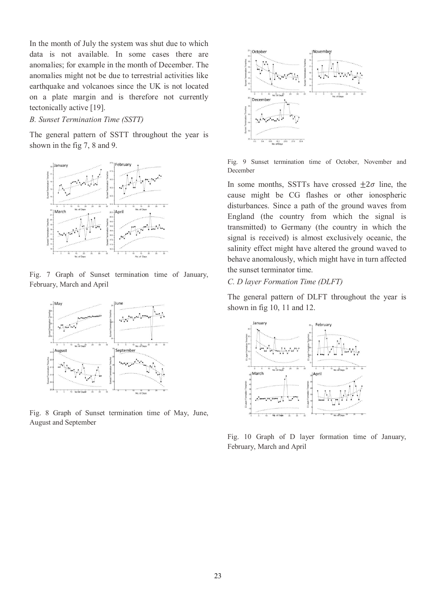In the month of July the system was shut due to which data is not available. In some cases there are anomalies; for example in the month of December. The anomalies might not be due to terrestrial activities like earthquake and volcanoes since the UK is not located on a plate margin and is therefore not currently tectonically active [19].

#### *B. Sunset Termination Time (SSTT)*

The general pattern of SSTT throughout the year is shown in the fig 7, 8 and 9.



Fig. 7 Graph of Sunset termination time of January, February, March and April



Fig. 8 Graph of Sunset termination time of May, June, August and September



Fig. 9 Sunset termination time of October, November and December

In some months, SSTTs have crossed  $\pm 2\sigma$  line, the cause might be CG flashes or other ionospheric disturbances. Since a path of the ground waves from England (the country from which the signal is transmitted) to Germany (the country in which the signal is received) is almost exclusively oceanic, the salinity effect might have altered the ground waved to behave anomalously, which might have in turn affected the sunset terminator time.

*C. D layer Formation Time (DLFT)*

The general pattern of DLFT throughout the year is shown in fig 10, 11 and 12.



Fig. 10 Graph of D layer formation time of January, February, March and April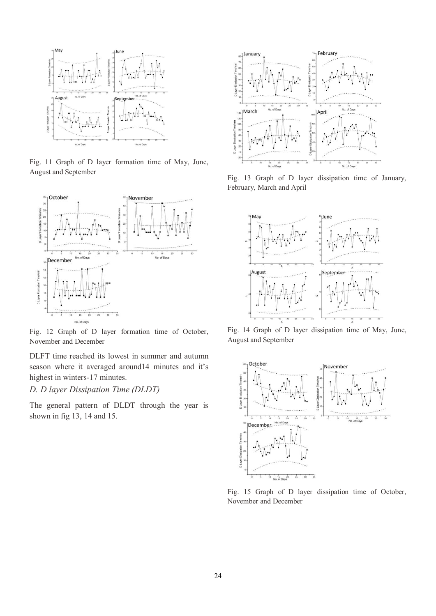

Fig. 11 Graph of D layer formation time of May, June, August and September



Fig. 12 Graph of D layer formation time of October, November and December

DLFT time reached its lowest in summer and autumn season where it averaged around14 minutes and it's highest in winters-17 minutes.

# *D. D layer Dissipation Time (DLDT)*

The general pattern of DLDT through the year is shown in fig 13, 14 and 15.



Fig. 13 Graph of D layer dissipation time of January, February, March and April



Fig. 14 Graph of D layer dissipation time of May, June, August and September



Fig. 15 Graph of D layer dissipation time of October, November and December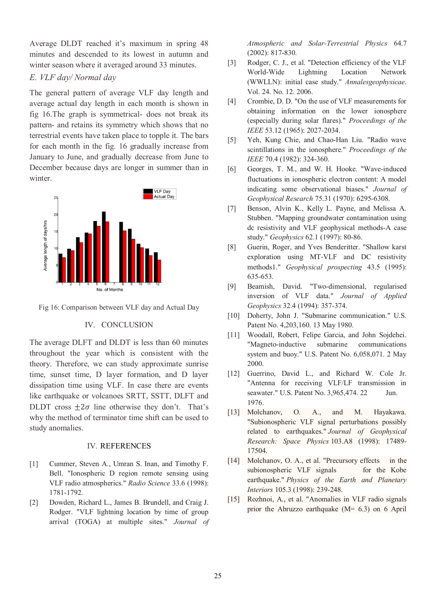Average DLDT reached it's maximum in spring 48 minutes and descended to its lowest in autumn and winter season where it averaged around 33 minutes.

# *E. VLF day/ Normal day*

The general pattern of average VLF day length and average actual day length in each month is shown in fig 16.The graph is symmetrical- does not break its pattern- and retains its symmetry which shows that no terrestrial events have taken place to topple it. The bars for each month in the fig. 16 gradually increase from January to June, and gradually decrease from June to December because days are longer in summer than in winter.



Fig 16: Comparison between VLF day and Actual Day

# IV. CONCLUSION

The average DLFT and DLDT is less than 60 minutes throughout the year which is consistent with the theory. Therefore, we can study approximate sunrise time, sunset time, D layer formation, and D layer dissipation time using VLF. In case there are events like earthquake or volcanoes SRTT, SSTT, DLFT and DLDT cross  $+2\sigma$  line otherwise they don't. That's why the method of terminator time shift can be used to study anomalies.

# IV. REFERENCES

- [1] Cummer, Steven A., Umran S. Inan, and Timothy F. Bell. "Ionospheric D region remote sensing using VLF radio atmospherics." *Radio Science* 33.6 (1998): 1781-1792.
- [2] Dowden, Richard L., James B. Brundell, and Craig J. Rodger. "VLF lightning location by time of group arrival (TOGA) at multiple sites." *Journal of*

*Atmospheric and Solar-Terrestrial Physics* 64.7 (2002): 817-830.

- [3] Rodger, C. J., et al. "Detection efficiency of the VLF World-Wide Lightning Location Network (WWLLN): initial case study." *Annalesgeophysicae*. Vol. 24. No. 12. 2006.
- [4] Crombie, D. D. "On the use of VLF measurements for obtaining information on the lower ionosphere (especially during solar flares)." *Proceedings of the IEEE* 53.12 (1965): 2027-2034.
- [5] Yeh, Kung Chie, and Chao-Han Liu. "Radio wave scintillations in the ionosphere." *Proceedings of the IEEE* 70.4 (1982): 324-360.
- [6] Georges, T. M., and W. H. Hooke. "Wave-induced fluctuations in ionospheric electron content: A model indicating some observational biases." *Journal of Geophysical Research* 75.31 (1970): 6295-6308.
- [7] Benson, Alvin K., Kelly L. Payne, and Melissa A. Stubben. "Mapping groundwater contamination using dc resistivity and VLF geophysical methods-A case study." *Geophysics* 62.1 (1997): 80-86.
- [8] Guerin, Roger, and Yves Benderitter. "Shallow karst exploration using MT‐VLF and DC resistivity methods1." *Geophysical prospecting* 43.5 (1995): 635-653.
- [9] Beamish, David. "Two-dimensional, regularised inversion of VLF data." *Journal of Applied Geophysics* 32.4 (1994): 357-374.
- [10] Doherty, John J. "Submarine communication." U.S. Patent No. 4,203,160. 13 May 1980.
- [11] Woodall, Robert, Felipe Garcia, and John Sojdehei. "Magneto-inductive submarine communications system and buoy." U.S. Patent No. 6,058,071. 2 May 2000.
- [12] Guerrino, David L., and Richard W. Cole Jr. "Antenna for receiving VLF/LF transmission in seawater." U.S. Patent No. 3,965,474. 22 Jun. 1976.
- [13] Molchanov, O. A., and M. Hayakawa. "Subionospheric VLF signal perturbations possibly related to earthquakes." *Journal of Geophysical Research: Space Physics* 103.A8 (1998): 17489- 17504.
- [14] Molchanov, O. A., et al. "Precursory effects in the subionospheric VLF signals for the Kobe earthquake." *Physics of the Earth and Planetary Interiors* 105.3 (1998): 239-248.
- [15] Rozhnoi, A., et al. "Anomalies in VLF radio signals prior the Abruzzo earthquake  $(M= 6.3)$  on 6 April